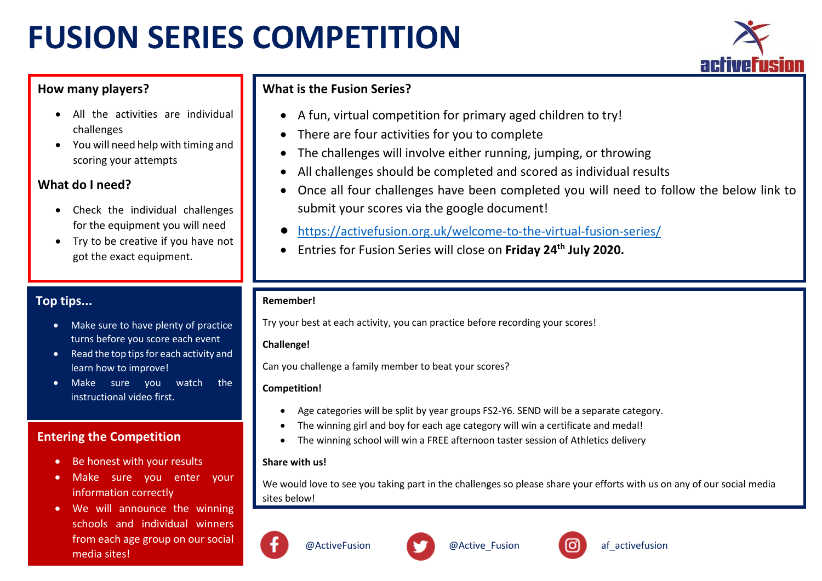# **FUSION SERIES COMPETITION**



## **How many players?**

- All the activities are individual challenges
- You will need help with timing and scoring your attempts

## **What do I need?**

- Check the individual challenges for the equipment you will need
- Try to be creative if you have not got the exact equipment.

# **Top tips...**

- Make sure to have plenty of practice turns before you score each event
- Read the top tips for each activity and learn how to improve!
- Make sure you watch the instructional video first.

## **Entering the Competition**

- Be honest with your results
- Make sure you enter your information correctly
- We will announce the winning schools and individual winners from each age group on our social media sites!

# **What is the Fusion Series?**

- A fun, virtual competition for primary aged children to try!
- There are four activities for you to complete
- The challenges will involve either running, jumping, or throwing
- All challenges should be completed and scored as individual results
- Once all four challenges have been completed you will need to follow the below link to submit your scores via the google document!
- <https://activefusion.org.uk/welcome-to-the-virtual-fusion-series/>
- Entries for Fusion Series will close on **Friday 24th July 2020.**

### **Remember!**

Try your best at each activity, you can practice before recording your scores!

## **Challenge!**

Can you challenge a family member to beat your scores?

## **Competition!**

- Age categories will be split by year groups FS2-Y6. SEND will be a separate category.
- The winning girl and boy for each age category will win a certificate and medal!
- The winning school will win a FREE afternoon taster session of Athletics delivery

## **Share with us!**

We would love to see you taking part in the challenges so please share your efforts with us on any of our social media sites below!



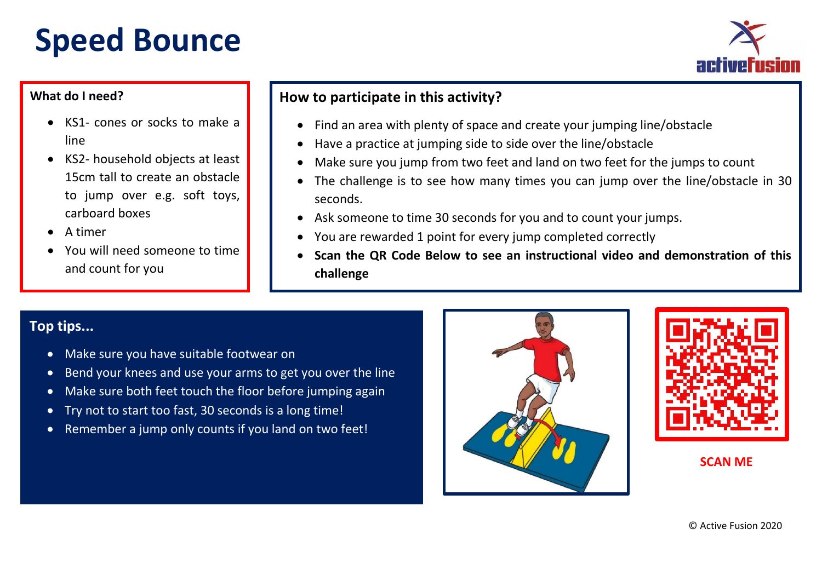# **Speed Bounce**



## **What do I need?**

- KS1- cones or socks to make a line
- KS2- household objects at least 15cm tall to create an obstacle to jump over e.g. soft toys, carboard boxes
- A timer
- You will need someone to time and count for you

# **How to participate in this activity?**

- Find an area with plenty of space and create your jumping line/obstacle
- Have a practice at jumping side to side over the line/obstacle
- Make sure you jump from two feet and land on two feet for the jumps to count
- The challenge is to see how many times you can jump over the line/obstacle in 30 seconds.
- Ask someone to time 30 seconds for you and to count your jumps.
- You are rewarded 1 point for every jump completed correctly
- **Scan the QR Code Below to see an instructional video and demonstration of this challenge**

# **Top tips...**

- Make sure you have suitable footwear on
- Bend your knees and use your arms to get you over the line
- Make sure both feet touch the floor before jumping again
- Try not to start too fast, 30 seconds is a long time!
- Remember a jump only counts if you land on two feet!



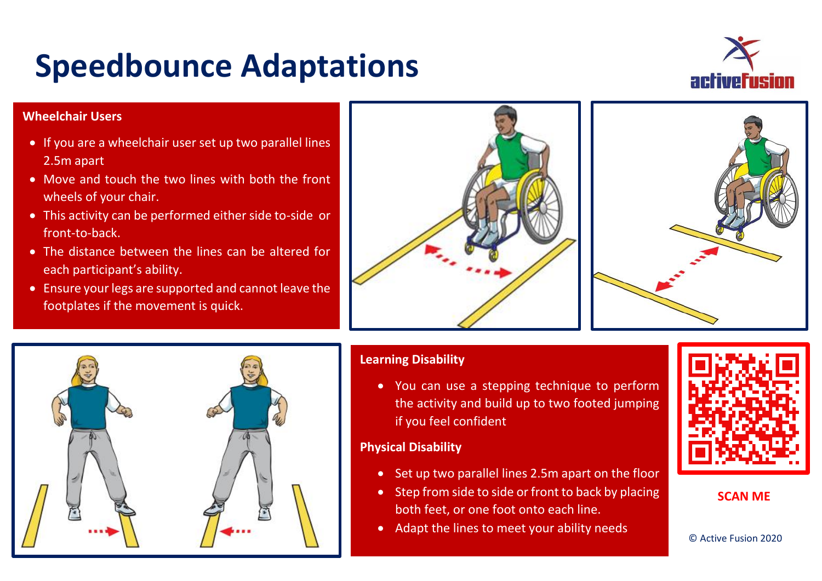# **Speedbounce Adaptations**



## **Wheelchair Users**

- If you are a wheelchair user set up two parallel lines 2.5m apart
- Move and touch the two lines with both the front wheels of your chair.
- This activity can be performed either side to-side or front-to-back.
- The distance between the lines can be altered for each participant's ability.
- Ensure your legs are supported and cannot leave the footplates if the movement is quick.







## **Learning Disability**

 You can use a stepping technique to perform the activity and build up to two footed jumping if you feel confident

### **Physical Disability**

- Set up two parallel lines 2.5m apart on the floor
- Step from side to side or front to back by placing both feet, or one foot onto each line.
- Adapt the lines to meet your ability needs



### **SCAN ME**

© Active Fusion 2020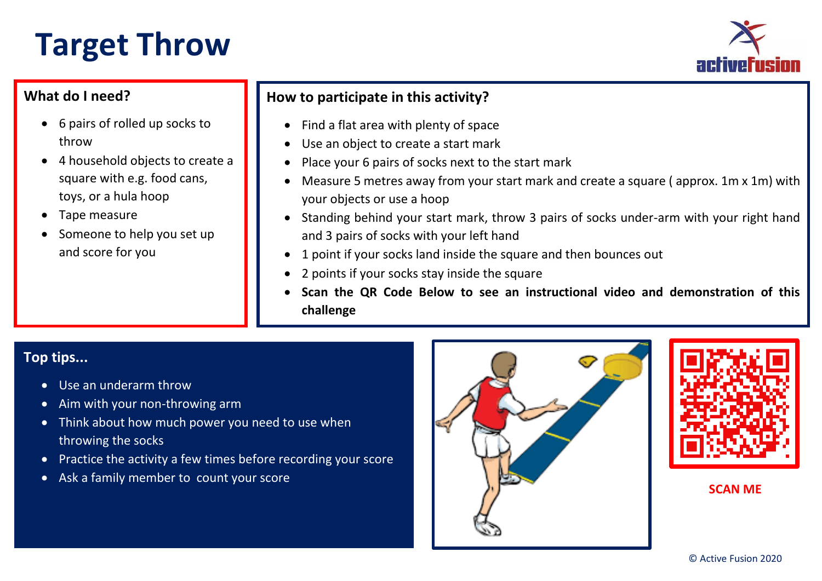# **Target Throw**



# **What do I need?**

- 6 pairs of rolled up socks to throw
- 4 household objects to create a square with e.g. food cans, toys, or a hula hoop
- Tape measure
- Someone to help you set up and score for you

# **How to participate in this activity?**

- Find a flat area with plenty of space
- Use an object to create a start mark
- Place your 6 pairs of socks next to the start mark
- Measure 5 metres away from your start mark and create a square ( approx. 1m x 1m) with your objects or use a hoop
- Standing behind your start mark, throw 3 pairs of socks under-arm with your right hand and 3 pairs of socks with your left hand
- 1 point if your socks land inside the square and then bounces out
- 2 points if your socks stay inside the square
- **Scan the QR Code Below to see an instructional video and demonstration of this challenge**

# **Top tips...**

- Use an underarm throw
- Aim with your non-throwing arm
- Think about how much power you need to use when throwing the socks
- Practice the activity a few times before recording your score

Ξ

• Ask a family member to count your score



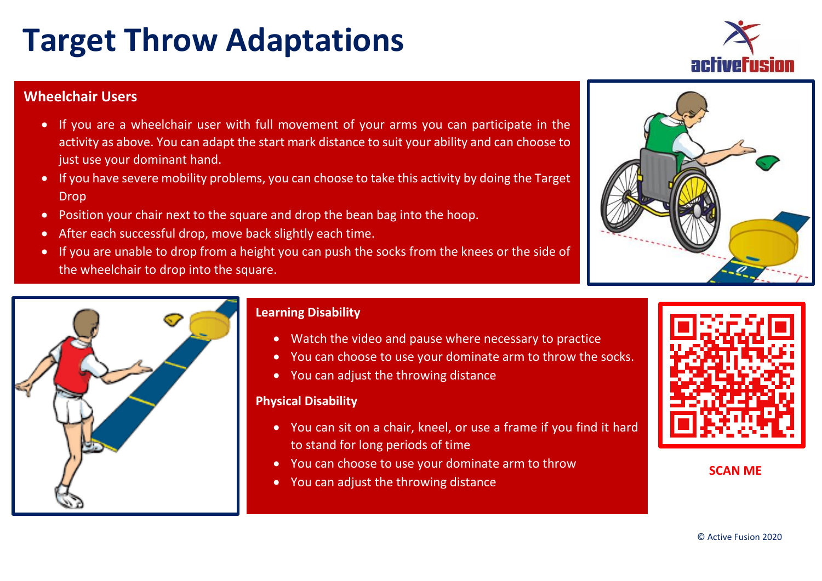#### © Active Fusion 2020

# **Target Throw Adaptations**

## **Wheelchair Users**

- If you are a wheelchair user with full movement of your arms you can participate in the activity as above. You can adapt the start mark distance to suit your ability and can choose to just use your dominant hand.
- If you have severe mobility problems, you can choose to take this activity by doing the Target Drop
- Position your chair next to the square and drop the bean bag into the hoop.
- After each successful drop, move back slightly each time.
- If you are unable to drop from a height you can push the socks from the knees or the side of the wheelchair to drop into the square.



## **Learning Disability**

- Watch the video and pause where necessary to practice
- You can choose to use your dominate arm to throw the socks.
- You can adjust the throwing distance

### **Physical Disability**

- You can sit on a chair, kneel, or use a frame if you find it hard to stand for long periods of time
- You can choose to use your dominate arm to throw
- You can adjust the throwing distance





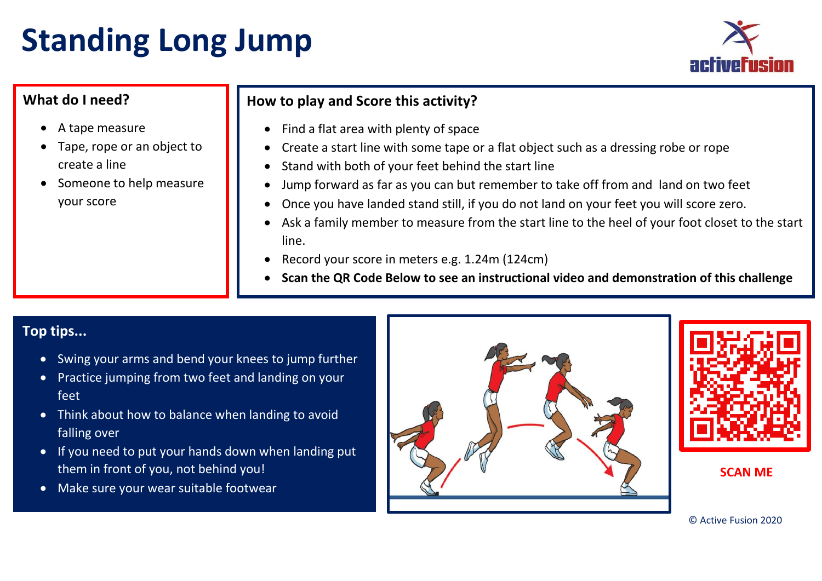# **Standing Long Jump**



# **What do I need?**

- A tape measure
- Tape, rope or an object to create a line
- Someone to help measure your score

# **How to play and Score this activity?**

- Find a flat area with plenty of space
- Create a start line with some tape or a flat object such as a dressing robe or rope
- Stand with both of your feet behind the start line
- Jump forward as far as you can but remember to take off from and land on two feet
- Once you have landed stand still, if you do not land on your feet you will score zero.
- Ask a family member to measure from the start line to the heel of your foot closet to the start line.
- Record your score in meters e.g. 1.24m (124cm)
- **Scan the QR Code Below to see an instructional video and demonstration of this challenge**

# **Top tips...**

- Swing your arms and bend your knees to jump further
- Practice jumping from two feet and landing on your feet
- Think about how to balance when landing to avoid falling over
- If you need to put your hands down when landing put them in front of you, not behind you!
- Make sure your wear suitable footwear



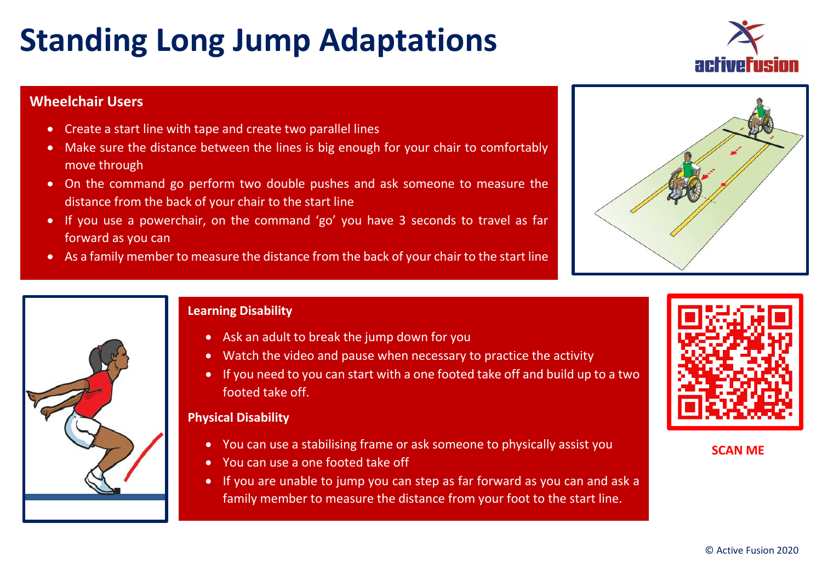# **Standing Long Jump Adaptations**

# **Wheelchair Users**

- Create a start line with tape and create two parallel lines
- Make sure the distance between the lines is big enough for your chair to comfortably move through
- On the command go perform two double pushes and ask someone to measure the distance from the back of your chair to the start line
- If you use a powerchair, on the command 'go' you have 3 seconds to travel as far forward as you can
- As a family member to measure the distance from the back of your chair to the start line



- Ask an adult to break the jump down for you
- Watch the video and pause when necessary to practice the activity
- If you need to you can start with a one footed take off and build up to a two footed take off.

## **Physical Disability**

- You can use a stabilising frame or ask someone to physically assist you
- You can use a one footed take off
- If you are unable to jump you can step as far forward as you can and ask a family member to measure the distance from your foot to the start line.



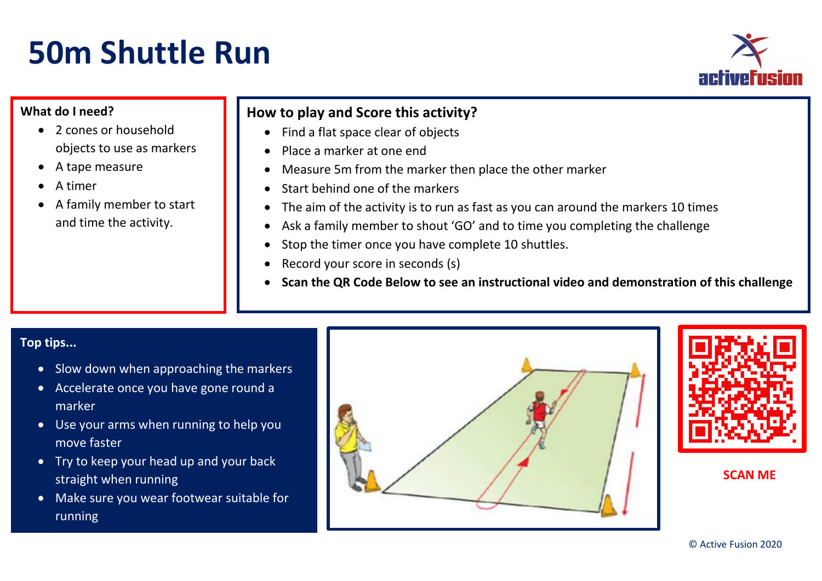# **50m Shuttle Run**



## **What do I need?**

- 2 cones or household objects to use as markers
- A tape measure
- A timer
- A family member to start and time the activity.

# **How to play and Score this activity?**

- Find a flat space clear of objects
- Place a marker at one end
- Measure 5m from the marker then place the other marker
- Start behind one of the markers
- The aim of the activity is to run as fast as you can around the markers 10 times
- Ask a family member to shout 'GO' and to time you completing the challenge
- Stop the timer once you have complete 10 shuttles.
- Record your score in seconds (s)
- **Scan the QR Code Below to see an instructional video and demonstration of this challenge**

## **Top tips...**

- Slow down when approaching the markers
- Accelerate once you have gone round a marker
- Use your arms when running to help you move faster
- Try to keep your head up and your back straight when running
- Make sure you wear footwear suitable for running